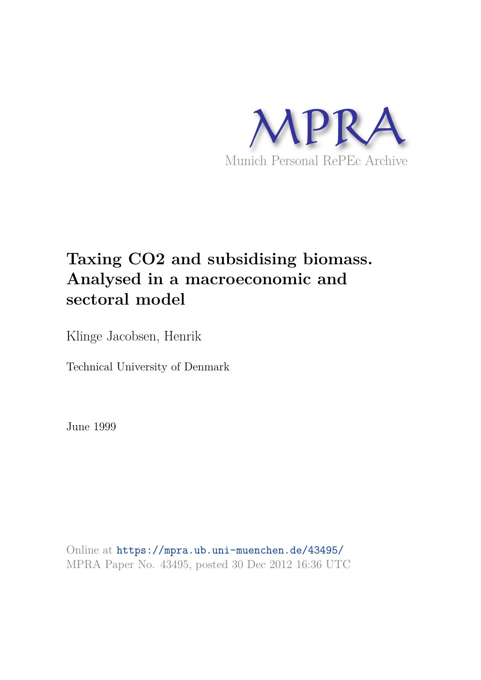

# **Taxing CO2 and subsidising biomass. Analysed in a macroeconomic and sectoral model**

Klinge Jacobsen, Henrik

Technical University of Denmark

June 1999

Online at https://mpra.ub.uni-muenchen.de/43495/ MPRA Paper No. 43495, posted 30 Dec 2012 16:36 UTC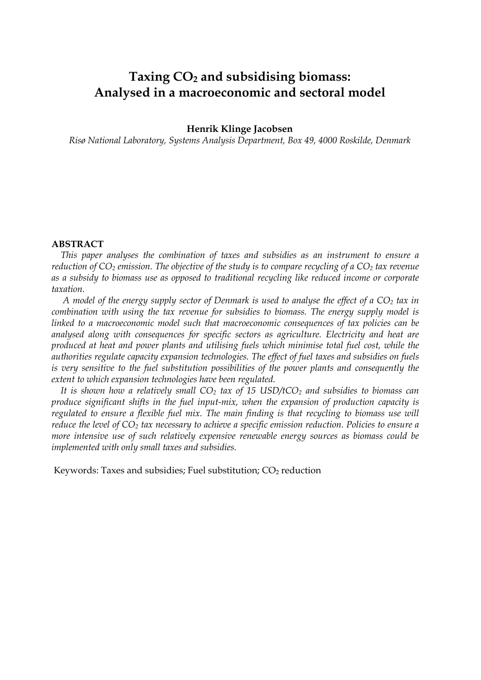# **Taxing CO2 and subsidising biomass: Analysed in a macroeconomic and sectoral model**

#### **Henrik Klinge Jacobsen**

*Risø National Laboratory, Systems Analysis Department, Box 49, 4000 Roskilde, Denmark* 

#### **ABSTRACT**

*This paper analyses the combination of taxes and subsidies as an instrument to ensure a reduction of CO2 emission. The objective of the study is to compare recycling of a CO2 tax revenue as a subsidy to biomass use as opposed to traditional recycling like reduced income or corporate taxation.* 

 *A model of the energy supply sector of Denmark is used to analyse the effect of a CO2 tax in combination with using the tax revenue for subsidies to biomass. The energy supply model is linked to a macroeconomic model such that macroeconomic consequences of tax policies can be analysed along with consequences for specific sectors as agriculture. Electricity and heat are produced at heat and power plants and utilising fuels which minimise total fuel cost, while the authorities regulate capacity expansion technologies. The effect of fuel taxes and subsidies on fuels is very sensitive to the fuel substitution possibilities of the power plants and consequently the extent to which expansion technologies have been regulated.* 

*It is shown how a relatively small CO2 tax of 15 USD/tCO2 and subsidies to biomass can produce significant shifts in the fuel input-mix, when the expansion of production capacity is*  regulated to ensure a flexible fuel mix. The main finding is that recycling to biomass use will *reduce the level of CO2 tax necessary to achieve a specific emission reduction. Policies to ensure a more intensive use of such relatively expensive renewable energy sources as biomass could be implemented with only small taxes and subsidies.*

Keywords: Taxes and subsidies; Fuel substitution;  $CO<sub>2</sub>$  reduction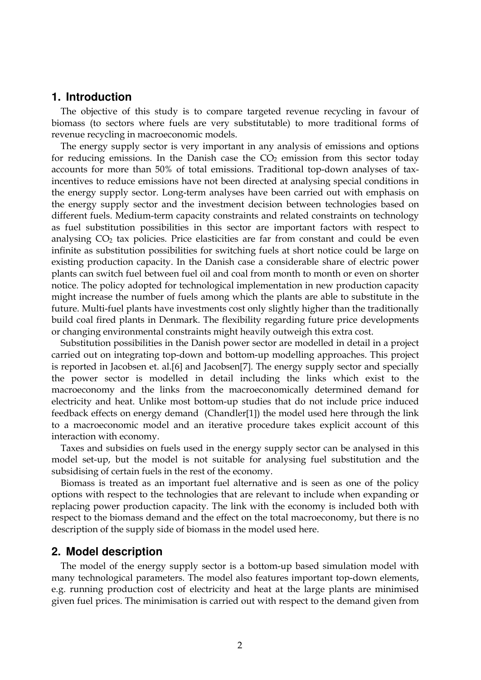### **1. Introduction**

The objective of this study is to compare targeted revenue recycling in favour of biomass (to sectors where fuels are very substitutable) to more traditional forms of revenue recycling in macroeconomic models.

The energy supply sector is very important in any analysis of emissions and options for reducing emissions. In the Danish case the  $CO<sub>2</sub>$  emission from this sector today accounts for more than 50% of total emissions. Traditional top-down analyses of taxincentives to reduce emissions have not been directed at analysing special conditions in the energy supply sector. Long-term analyses have been carried out with emphasis on the energy supply sector and the investment decision between technologies based on different fuels. Medium-term capacity constraints and related constraints on technology as fuel substitution possibilities in this sector are important factors with respect to analysing  $CO<sub>2</sub>$  tax policies. Price elasticities are far from constant and could be even infinite as substitution possibilities for switching fuels at short notice could be large on existing production capacity. In the Danish case a considerable share of electric power plants can switch fuel between fuel oil and coal from month to month or even on shorter notice. The policy adopted for technological implementation in new production capacity might increase the number of fuels among which the plants are able to substitute in the future. Multi-fuel plants have investments cost only slightly higher than the traditionally build coal fired plants in Denmark. The flexibility regarding future price developments or changing environmental constraints might heavily outweigh this extra cost.

Substitution possibilities in the Danish power sector are modelled in detail in a project carried out on integrating top-down and bottom-up modelling approaches. This project is reported in Jacobsen et. al.[6] and Jacobsen[7]. The energy supply sector and specially the power sector is modelled in detail including the links which exist to the macroeconomy and the links from the macroeconomically determined demand for electricity and heat. Unlike most bottom-up studies that do not include price induced feedback effects on energy demand (Chandler[1]) the model used here through the link to a macroeconomic model and an iterative procedure takes explicit account of this interaction with economy.

Taxes and subsidies on fuels used in the energy supply sector can be analysed in this model set-up, but the model is not suitable for analysing fuel substitution and the subsidising of certain fuels in the rest of the economy.

Biomass is treated as an important fuel alternative and is seen as one of the policy options with respect to the technologies that are relevant to include when expanding or replacing power production capacity. The link with the economy is included both with respect to the biomass demand and the effect on the total macroeconomy, but there is no description of the supply side of biomass in the model used here.

#### **2. Model description**

The model of the energy supply sector is a bottom-up based simulation model with many technological parameters. The model also features important top-down elements, e.g. running production cost of electricity and heat at the large plants are minimised given fuel prices. The minimisation is carried out with respect to the demand given from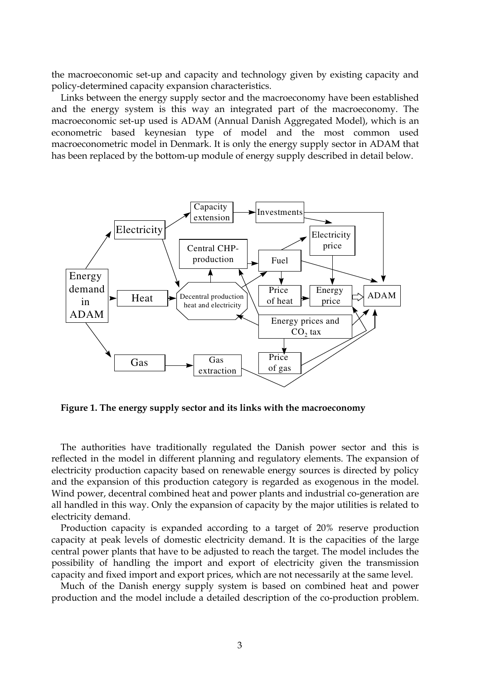the macroeconomic set-up and capacity and technology given by existing capacity and policy-determined capacity expansion characteristics.

Links between the energy supply sector and the macroeconomy have been established and the energy system is this way an integrated part of the macroeconomy. The macroeconomic set-up used is ADAM (Annual Danish Aggregated Model), which is an econometric based keynesian type of model and the most common used macroeconometric model in Denmark. It is only the energy supply sector in ADAM that has been replaced by the bottom-up module of energy supply described in detail below.



**Figure 1. The energy supply sector and its links with the macroeconomy** 

The authorities have traditionally regulated the Danish power sector and this is reflected in the model in different planning and regulatory elements. The expansion of electricity production capacity based on renewable energy sources is directed by policy and the expansion of this production category is regarded as exogenous in the model. Wind power, decentral combined heat and power plants and industrial co-generation are all handled in this way. Only the expansion of capacity by the major utilities is related to electricity demand.

Production capacity is expanded according to a target of 20% reserve production capacity at peak levels of domestic electricity demand. It is the capacities of the large central power plants that have to be adjusted to reach the target. The model includes the possibility of handling the import and export of electricity given the transmission capacity and fixed import and export prices, which are not necessarily at the same level.

Much of the Danish energy supply system is based on combined heat and power production and the model include a detailed description of the co-production problem.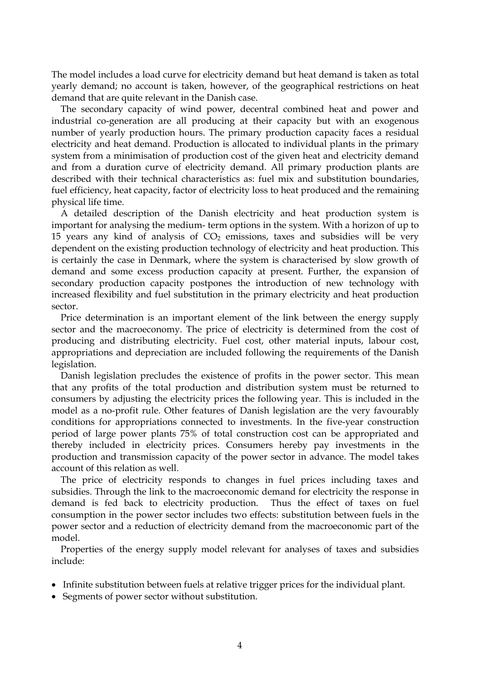The model includes a load curve for electricity demand but heat demand is taken as total yearly demand; no account is taken, however, of the geographical restrictions on heat demand that are quite relevant in the Danish case.

The secondary capacity of wind power, decentral combined heat and power and industrial co-generation are all producing at their capacity but with an exogenous number of yearly production hours. The primary production capacity faces a residual electricity and heat demand. Production is allocated to individual plants in the primary system from a minimisation of production cost of the given heat and electricity demand and from a duration curve of electricity demand. All primary production plants are described with their technical characteristics as: fuel mix and substitution boundaries, fuel efficiency, heat capacity, factor of electricity loss to heat produced and the remaining physical life time.

A detailed description of the Danish electricity and heat production system is important for analysing the medium- term options in the system. With a horizon of up to 15 years any kind of analysis of  $CO<sub>2</sub>$  emissions, taxes and subsidies will be very dependent on the existing production technology of electricity and heat production. This is certainly the case in Denmark, where the system is characterised by slow growth of demand and some excess production capacity at present. Further, the expansion of secondary production capacity postpones the introduction of new technology with increased flexibility and fuel substitution in the primary electricity and heat production sector.

Price determination is an important element of the link between the energy supply sector and the macroeconomy. The price of electricity is determined from the cost of producing and distributing electricity. Fuel cost, other material inputs, labour cost, appropriations and depreciation are included following the requirements of the Danish legislation.

Danish legislation precludes the existence of profits in the power sector. This mean that any profits of the total production and distribution system must be returned to consumers by adjusting the electricity prices the following year. This is included in the model as a no-profit rule. Other features of Danish legislation are the very favourably conditions for appropriations connected to investments. In the five-year construction period of large power plants 75% of total construction cost can be appropriated and thereby included in electricity prices. Consumers hereby pay investments in the production and transmission capacity of the power sector in advance. The model takes account of this relation as well.

The price of electricity responds to changes in fuel prices including taxes and subsidies. Through the link to the macroeconomic demand for electricity the response in demand is fed back to electricity production. Thus the effect of taxes on fuel consumption in the power sector includes two effects: substitution between fuels in the power sector and a reduction of electricity demand from the macroeconomic part of the model.

Properties of the energy supply model relevant for analyses of taxes and subsidies include:

- Infinite substitution between fuels at relative trigger prices for the individual plant.
- Segments of power sector without substitution.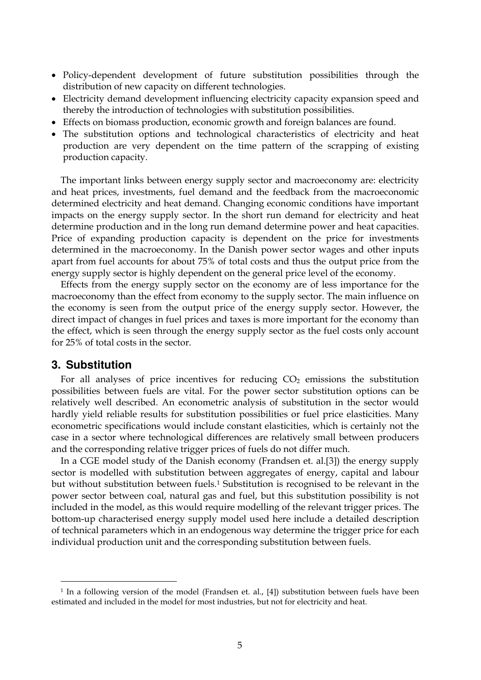- Policy-dependent development of future substitution possibilities through the distribution of new capacity on different technologies.
- Electricity demand development influencing electricity capacity expansion speed and thereby the introduction of technologies with substitution possibilities.
- Effects on biomass production, economic growth and foreign balances are found.
- The substitution options and technological characteristics of electricity and heat production are very dependent on the time pattern of the scrapping of existing production capacity.

The important links between energy supply sector and macroeconomy are: electricity and heat prices, investments, fuel demand and the feedback from the macroeconomic determined electricity and heat demand. Changing economic conditions have important impacts on the energy supply sector. In the short run demand for electricity and heat determine production and in the long run demand determine power and heat capacities. Price of expanding production capacity is dependent on the price for investments determined in the macroeconomy. In the Danish power sector wages and other inputs apart from fuel accounts for about 75% of total costs and thus the output price from the energy supply sector is highly dependent on the general price level of the economy.

Effects from the energy supply sector on the economy are of less importance for the macroeconomy than the effect from economy to the supply sector. The main influence on the economy is seen from the output price of the energy supply sector. However, the direct impact of changes in fuel prices and taxes is more important for the economy than the effect, which is seen through the energy supply sector as the fuel costs only account for 25% of total costs in the sector.

#### **3. Substitution**

**-**

For all analyses of price incentives for reducing  $CO<sub>2</sub>$  emissions the substitution possibilities between fuels are vital. For the power sector substitution options can be relatively well described. An econometric analysis of substitution in the sector would hardly yield reliable results for substitution possibilities or fuel price elasticities. Many econometric specifications would include constant elasticities, which is certainly not the case in a sector where technological differences are relatively small between producers and the corresponding relative trigger prices of fuels do not differ much.

In a CGE model study of the Danish economy (Frandsen et. al.[3]) the energy supply sector is modelled with substitution between aggregates of energy, capital and labour but without substitution between fuels.<sup>1</sup> Substitution is recognised to be relevant in the power sector between coal, natural gas and fuel, but this substitution possibility is not included in the model, as this would require modelling of the relevant trigger prices. The bottom-up characterised energy supply model used here include a detailed description of technical parameters which in an endogenous way determine the trigger price for each individual production unit and the corresponding substitution between fuels.

<sup>&</sup>lt;sup>1</sup> In a following version of the model (Frandsen et. al., [4]) substitution between fuels have been estimated and included in the model for most industries, but not for electricity and heat.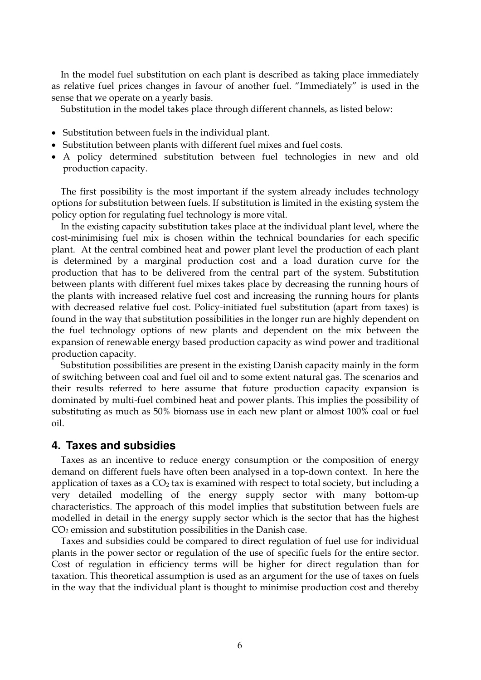In the model fuel substitution on each plant is described as taking place immediately as relative fuel prices changes in favour of another fuel. "Immediately" is used in the sense that we operate on a yearly basis.

Substitution in the model takes place through different channels, as listed below:

- Substitution between fuels in the individual plant.
- Substitution between plants with different fuel mixes and fuel costs.
- A policy determined substitution between fuel technologies in new and old production capacity.

The first possibility is the most important if the system already includes technology options for substitution between fuels. If substitution is limited in the existing system the policy option for regulating fuel technology is more vital.

In the existing capacity substitution takes place at the individual plant level, where the cost-minimising fuel mix is chosen within the technical boundaries for each specific plant. At the central combined heat and power plant level the production of each plant is determined by a marginal production cost and a load duration curve for the production that has to be delivered from the central part of the system. Substitution between plants with different fuel mixes takes place by decreasing the running hours of the plants with increased relative fuel cost and increasing the running hours for plants with decreased relative fuel cost. Policy-initiated fuel substitution (apart from taxes) is found in the way that substitution possibilities in the longer run are highly dependent on the fuel technology options of new plants and dependent on the mix between the expansion of renewable energy based production capacity as wind power and traditional production capacity.

Substitution possibilities are present in the existing Danish capacity mainly in the form of switching between coal and fuel oil and to some extent natural gas. The scenarios and their results referred to here assume that future production capacity expansion is dominated by multi-fuel combined heat and power plants. This implies the possibility of substituting as much as 50% biomass use in each new plant or almost 100% coal or fuel oil.

#### **4. Taxes and subsidies**

Taxes as an incentive to reduce energy consumption or the composition of energy demand on different fuels have often been analysed in a top-down context. In here the application of taxes as a  $CO<sub>2</sub>$  tax is examined with respect to total society, but including a very detailed modelling of the energy supply sector with many bottom-up characteristics. The approach of this model implies that substitution between fuels are modelled in detail in the energy supply sector which is the sector that has the highest CO2 emission and substitution possibilities in the Danish case.

Taxes and subsidies could be compared to direct regulation of fuel use for individual plants in the power sector or regulation of the use of specific fuels for the entire sector. Cost of regulation in efficiency terms will be higher for direct regulation than for taxation. This theoretical assumption is used as an argument for the use of taxes on fuels in the way that the individual plant is thought to minimise production cost and thereby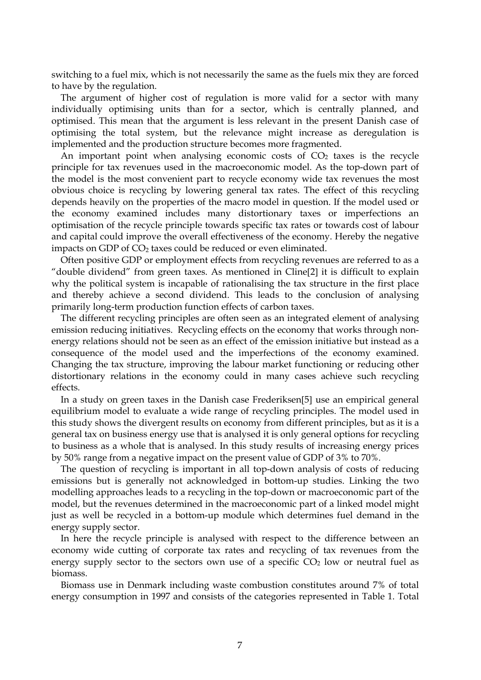switching to a fuel mix, which is not necessarily the same as the fuels mix they are forced to have by the regulation.

The argument of higher cost of regulation is more valid for a sector with many individually optimising units than for a sector, which is centrally planned, and optimised. This mean that the argument is less relevant in the present Danish case of optimising the total system, but the relevance might increase as deregulation is implemented and the production structure becomes more fragmented.

An important point when analysing economic costs of  $CO<sub>2</sub>$  taxes is the recycle principle for tax revenues used in the macroeconomic model. As the top-down part of the model is the most convenient part to recycle economy wide tax revenues the most obvious choice is recycling by lowering general tax rates. The effect of this recycling depends heavily on the properties of the macro model in question. If the model used or the economy examined includes many distortionary taxes or imperfections an optimisation of the recycle principle towards specific tax rates or towards cost of labour and capital could improve the overall effectiveness of the economy. Hereby the negative impacts on GDP of  $CO<sub>2</sub>$  taxes could be reduced or even eliminated.

Often positive GDP or employment effects from recycling revenues are referred to as a "double dividend" from green taxes. As mentioned in Cline[2] it is difficult to explain why the political system is incapable of rationalising the tax structure in the first place and thereby achieve a second dividend. This leads to the conclusion of analysing primarily long-term production function effects of carbon taxes.

The different recycling principles are often seen as an integrated element of analysing emission reducing initiatives. Recycling effects on the economy that works through nonenergy relations should not be seen as an effect of the emission initiative but instead as a consequence of the model used and the imperfections of the economy examined. Changing the tax structure, improving the labour market functioning or reducing other distortionary relations in the economy could in many cases achieve such recycling effects.

In a study on green taxes in the Danish case Frederiksen[5] use an empirical general equilibrium model to evaluate a wide range of recycling principles. The model used in this study shows the divergent results on economy from different principles, but as it is a general tax on business energy use that is analysed it is only general options for recycling to business as a whole that is analysed. In this study results of increasing energy prices by 50% range from a negative impact on the present value of GDP of 3% to 70%.

The question of recycling is important in all top-down analysis of costs of reducing emissions but is generally not acknowledged in bottom-up studies. Linking the two modelling approaches leads to a recycling in the top-down or macroeconomic part of the model, but the revenues determined in the macroeconomic part of a linked model might just as well be recycled in a bottom-up module which determines fuel demand in the energy supply sector.

In here the recycle principle is analysed with respect to the difference between an economy wide cutting of corporate tax rates and recycling of tax revenues from the energy supply sector to the sectors own use of a specific  $CO<sub>2</sub>$  low or neutral fuel as biomass.

Biomass use in Denmark including waste combustion constitutes around 7% of total energy consumption in 1997 and consists of the categories represented in Table 1. Total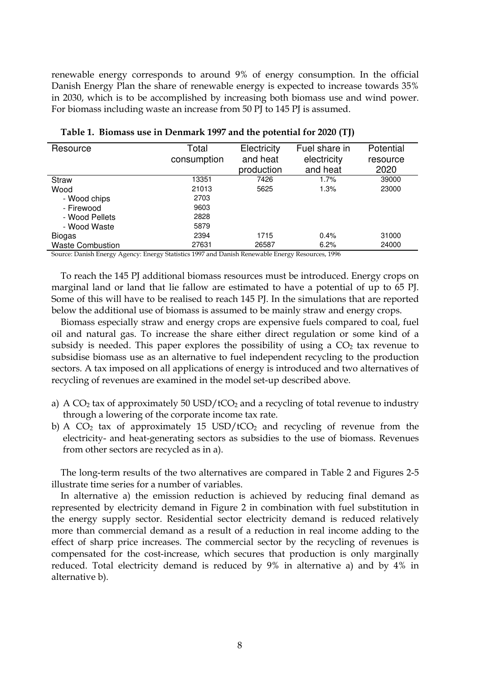renewable energy corresponds to around 9% of energy consumption. In the official Danish Energy Plan the share of renewable energy is expected to increase towards 35% in 2030, which is to be accomplished by increasing both biomass use and wind power. For biomass including waste an increase from 50 PJ to 145 PJ is assumed.

| Resource                | Total<br>consumption | Electricity<br>and heat<br>production | Fuel share in<br>electricity<br>and heat | Potential<br>resource<br>2020 |
|-------------------------|----------------------|---------------------------------------|------------------------------------------|-------------------------------|
| <b>Straw</b>            | 13351                | 7426                                  | $1.7\%$                                  | 39000                         |
| Wood                    | 21013                | 5625                                  | 1.3%                                     | 23000                         |
| - Wood chips            | 2703                 |                                       |                                          |                               |
| - Firewood              | 9603                 |                                       |                                          |                               |
| - Wood Pellets          | 2828                 |                                       |                                          |                               |
| - Wood Waste            | 5879                 |                                       |                                          |                               |
| <b>Biogas</b>           | 2394                 | 1715                                  | 0.4%                                     | 31000                         |
| <b>Waste Combustion</b> | 27631                | 26587                                 | 6.2%                                     | 24000                         |

**Table 1. Biomass use in Denmark 1997 and the potential for 2020 (TJ)** 

Source: Danish Energy Agency: Energy Statistics 1997 and Danish Renewable Energy Resources, 1996

To reach the 145 PJ additional biomass resources must be introduced. Energy crops on marginal land or land that lie fallow are estimated to have a potential of up to 65 PJ. Some of this will have to be realised to reach 145 PJ. In the simulations that are reported below the additional use of biomass is assumed to be mainly straw and energy crops.

Biomass especially straw and energy crops are expensive fuels compared to coal, fuel oil and natural gas. To increase the share either direct regulation or some kind of a subsidy is needed. This paper explores the possibility of using a  $CO<sub>2</sub>$  tax revenue to subsidise biomass use as an alternative to fuel independent recycling to the production sectors. A tax imposed on all applications of energy is introduced and two alternatives of recycling of revenues are examined in the model set-up described above.

- a) A  $CO<sub>2</sub>$  tax of approximately 50 USD/t $CO<sub>2</sub>$  and a recycling of total revenue to industry through a lowering of the corporate income tax rate.
- b) A  $CO<sub>2</sub>$  tax of approximately 15 USD/tCO<sub>2</sub> and recycling of revenue from the electricity- and heat-generating sectors as subsidies to the use of biomass. Revenues from other sectors are recycled as in a).

The long-term results of the two alternatives are compared in Table 2 and Figures 2-5 illustrate time series for a number of variables.

In alternative a) the emission reduction is achieved by reducing final demand as represented by electricity demand in Figure 2 in combination with fuel substitution in the energy supply sector. Residential sector electricity demand is reduced relatively more than commercial demand as a result of a reduction in real income adding to the effect of sharp price increases. The commercial sector by the recycling of revenues is compensated for the cost-increase, which secures that production is only marginally reduced. Total electricity demand is reduced by 9% in alternative a) and by 4% in alternative b).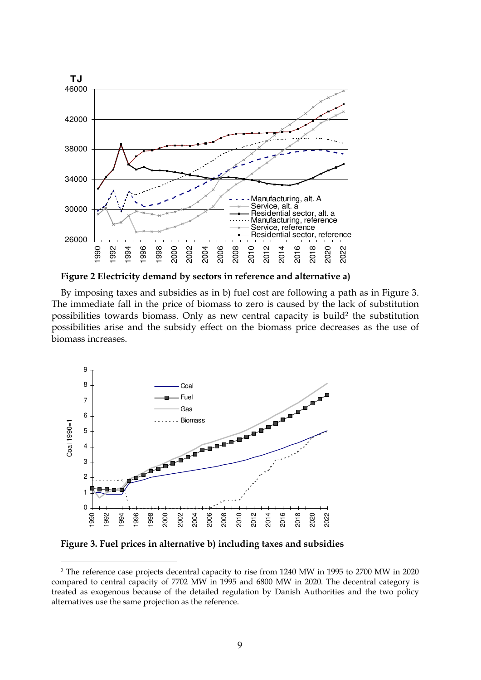

**Figure 2 Electricity demand by sectors in reference and alternative a)** 

By imposing taxes and subsidies as in b) fuel cost are following a path as in Figure 3. The immediate fall in the price of biomass to zero is caused by the lack of substitution possibilities towards biomass. Only as new central capacity is build<sup>2</sup> the substitution possibilities arise and the subsidy effect on the biomass price decreases as the use of biomass increases.



**Figure 3. Fuel prices in alternative b) including taxes and subsidies** 

**-**

 The reference case projects decentral capacity to rise from 1240 MW in 1995 to 2700 MW in 2020 compared to central capacity of 7702 MW in 1995 and 6800 MW in 2020. The decentral category is treated as exogenous because of the detailed regulation by Danish Authorities and the two policy alternatives use the same projection as the reference.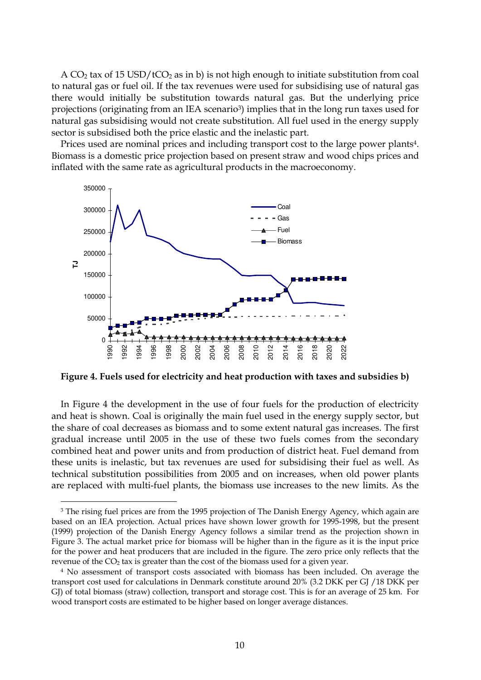A  $CO<sub>2</sub>$  tax of 15 USD/t $CO<sub>2</sub>$  as in b) is not high enough to initiate substitution from coal to natural gas or fuel oil. If the tax revenues were used for subsidising use of natural gas there would initially be substitution towards natural gas. But the underlying price projections (originating from an IEA scenario<sup>3</sup>) implies that in the long run taxes used for natural gas subsidising would not create substitution. All fuel used in the energy supply sector is subsidised both the price elastic and the inelastic part.

Prices used are nominal prices and including transport cost to the large power plants<sup>4</sup>. Biomass is a domestic price projection based on present straw and wood chips prices and inflated with the same rate as agricultural products in the macroeconomy.



**Figure 4. Fuels used for electricity and heat production with taxes and subsidies b)** 

In Figure 4 the development in the use of four fuels for the production of electricity and heat is shown. Coal is originally the main fuel used in the energy supply sector, but the share of coal decreases as biomass and to some extent natural gas increases. The first gradual increase until 2005 in the use of these two fuels comes from the secondary combined heat and power units and from production of district heat. Fuel demand from these units is inelastic, but tax revenues are used for subsidising their fuel as well. As technical substitution possibilities from 2005 and on increases, when old power plants are replaced with multi-fuel plants, the biomass use increases to the new limits. As the

 $\overline{a}$ 

<sup>3</sup> The rising fuel prices are from the 1995 projection of The Danish Energy Agency, which again are based on an IEA projection. Actual prices have shown lower growth for 1995-1998, but the present (1999) projection of the Danish Energy Agency follows a similar trend as the projection shown in Figure 3. The actual market price for biomass will be higher than in the figure as it is the input price for the power and heat producers that are included in the figure. The zero price only reflects that the revenue of the  $CO<sub>2</sub>$  tax is greater than the cost of the biomass used for a given year.

<sup>4</sup> No assessment of transport costs associated with biomass has been included. On average the transport cost used for calculations in Denmark constitute around 20% (3.2 DKK per GJ /18 DKK per GJ) of total biomass (straw) collection, transport and storage cost. This is for an average of 25 km. For wood transport costs are estimated to be higher based on longer average distances.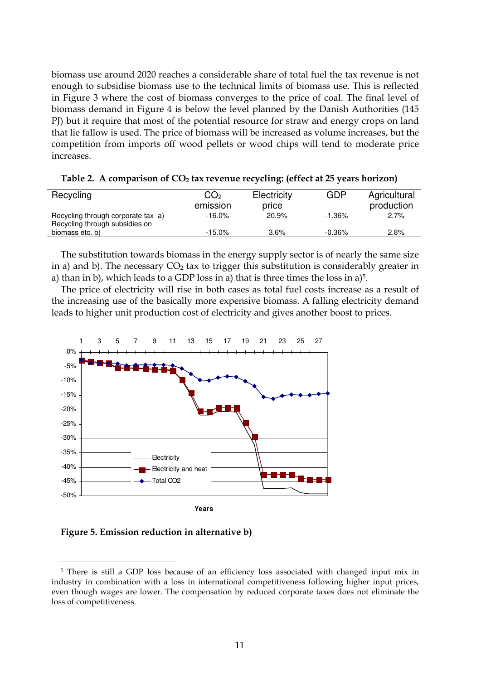biomass use around 2020 reaches a considerable share of total fuel the tax revenue is not enough to subsidise biomass use to the technical limits of biomass use. This is reflected in Figure 3 where the cost of biomass converges to the price of coal. The final level of biomass demand in Figure 4 is below the level planned by the Danish Authorities (145 PJ) but it require that most of the potential resource for straw and energy crops on land that lie fallow is used. The price of biomass will be increased as volume increases, but the competition from imports off wood pellets or wood chips will tend to moderate price increases.

| Recycling                                                            | CO2<br>emission | Electricity<br>price | GDP       | Agricultural<br>production |
|----------------------------------------------------------------------|-----------------|----------------------|-----------|----------------------------|
| Recycling through corporate tax a)<br>Recycling through subsidies on | $-16.0\%$       | 20.9%                | $-1.36\%$ | 2.7%                       |
| biomass etc. b)                                                      | $-15.0\%$       | $3.6\%$              | $-0.36\%$ | $2.8\%$                    |

**Table 2. A comparison of CO2 tax revenue recycling: (effect at 25 years horizon)** 

The substitution towards biomass in the energy supply sector is of nearly the same size in a) and b). The necessary  $CO<sub>2</sub>$  tax to trigger this substitution is considerably greater in a) than in b), which leads to a GDP loss in a) that is three times the loss in a)<sup>5</sup>.

The price of electricity will rise in both cases as total fuel costs increase as a result of the increasing use of the basically more expensive biomass. A falling electricity demand leads to higher unit production cost of electricity and gives another boost to prices.



**Figure 5. Emission reduction in alternative b)** 

<sup>-</sup>

<sup>5</sup> There is still a GDP loss because of an efficiency loss associated with changed input mix in industry in combination with a loss in international competitiveness following higher input prices, even though wages are lower. The compensation by reduced corporate taxes does not eliminate the loss of competitiveness.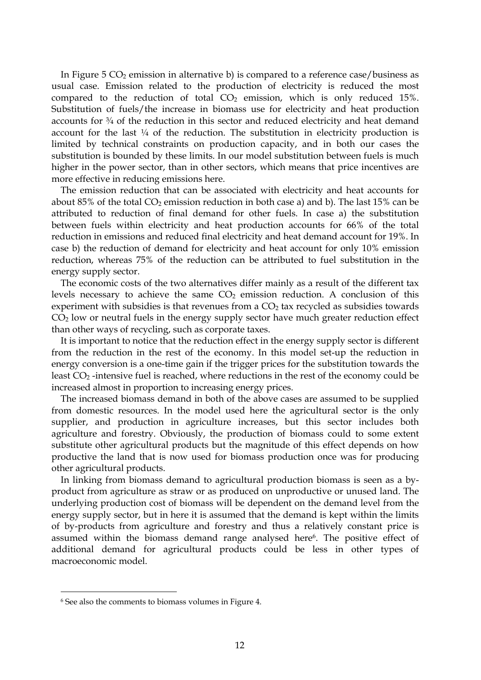In Figure 5  $CO<sub>2</sub>$  emission in alternative b) is compared to a reference case/business as usual case. Emission related to the production of electricity is reduced the most compared to the reduction of total  $CO<sub>2</sub>$  emission, which is only reduced 15%. Substitution of fuels/the increase in biomass use for electricity and heat production accounts for ¾ of the reduction in this sector and reduced electricity and heat demand account for the last  $\frac{1}{4}$  of the reduction. The substitution in electricity production is limited by technical constraints on production capacity, and in both our cases the substitution is bounded by these limits. In our model substitution between fuels is much higher in the power sector, than in other sectors, which means that price incentives are more effective in reducing emissions here.

The emission reduction that can be associated with electricity and heat accounts for about 85% of the total  $CO_2$  emission reduction in both case a) and b). The last 15% can be attributed to reduction of final demand for other fuels. In case a) the substitution between fuels within electricity and heat production accounts for 66% of the total reduction in emissions and reduced final electricity and heat demand account for 19%. In case b) the reduction of demand for electricity and heat account for only 10% emission reduction, whereas 75% of the reduction can be attributed to fuel substitution in the energy supply sector.

The economic costs of the two alternatives differ mainly as a result of the different tax levels necessary to achieve the same  $CO<sub>2</sub>$  emission reduction. A conclusion of this experiment with subsidies is that revenues from a  $CO<sub>2</sub>$  tax recycled as subsidies towards  $CO<sub>2</sub>$  low or neutral fuels in the energy supply sector have much greater reduction effect than other ways of recycling, such as corporate taxes.

It is important to notice that the reduction effect in the energy supply sector is different from the reduction in the rest of the economy. In this model set-up the reduction in energy conversion is a one-time gain if the trigger prices for the substitution towards the least  $CO<sub>2</sub>$ -intensive fuel is reached, where reductions in the rest of the economy could be increased almost in proportion to increasing energy prices.

The increased biomass demand in both of the above cases are assumed to be supplied from domestic resources. In the model used here the agricultural sector is the only supplier, and production in agriculture increases, but this sector includes both agriculture and forestry. Obviously, the production of biomass could to some extent substitute other agricultural products but the magnitude of this effect depends on how productive the land that is now used for biomass production once was for producing other agricultural products.

In linking from biomass demand to agricultural production biomass is seen as a byproduct from agriculture as straw or as produced on unproductive or unused land. The underlying production cost of biomass will be dependent on the demand level from the energy supply sector, but in here it is assumed that the demand is kept within the limits of by-products from agriculture and forestry and thus a relatively constant price is assumed within the biomass demand range analysed here<sup>6</sup>. The positive effect of additional demand for agricultural products could be less in other types of macroeconomic model.

 $\overline{a}$ 

<sup>6</sup> See also the comments to biomass volumes in Figure 4.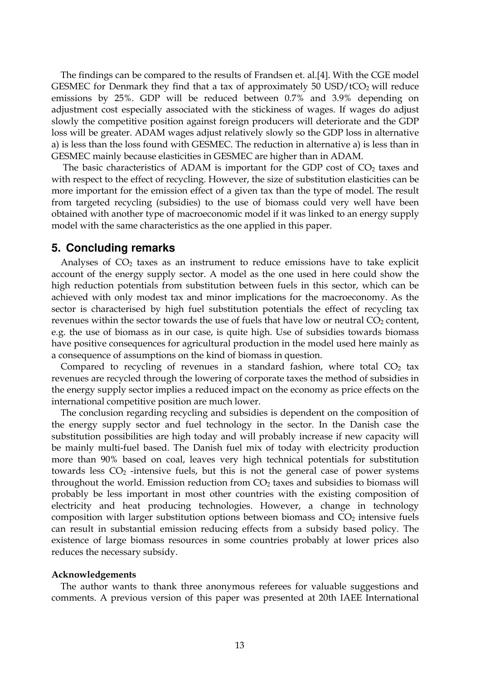The findings can be compared to the results of Frandsen et. al.[4]. With the CGE model GESMEC for Denmark they find that a tax of approximately 50 USD/ $tCO<sub>2</sub>$  will reduce emissions by 25%. GDP will be reduced between 0.7% and 3.9% depending on adjustment cost especially associated with the stickiness of wages. If wages do adjust slowly the competitive position against foreign producers will deteriorate and the GDP loss will be greater. ADAM wages adjust relatively slowly so the GDP loss in alternative a) is less than the loss found with GESMEC. The reduction in alternative a) is less than in GESMEC mainly because elasticities in GESMEC are higher than in ADAM.

The basic characteristics of ADAM is important for the GDP cost of  $CO<sub>2</sub>$  taxes and with respect to the effect of recycling. However, the size of substitution elasticities can be more important for the emission effect of a given tax than the type of model. The result from targeted recycling (subsidies) to the use of biomass could very well have been obtained with another type of macroeconomic model if it was linked to an energy supply model with the same characteristics as the one applied in this paper.

## **5. Concluding remarks**

Analyses of  $CO<sub>2</sub>$  taxes as an instrument to reduce emissions have to take explicit account of the energy supply sector. A model as the one used in here could show the high reduction potentials from substitution between fuels in this sector, which can be achieved with only modest tax and minor implications for the macroeconomy. As the sector is characterised by high fuel substitution potentials the effect of recycling tax revenues within the sector towards the use of fuels that have low or neutral  $CO<sub>2</sub>$  content, e.g. the use of biomass as in our case, is quite high. Use of subsidies towards biomass have positive consequences for agricultural production in the model used here mainly as a consequence of assumptions on the kind of biomass in question.

Compared to recycling of revenues in a standard fashion, where total  $CO<sub>2</sub>$  tax revenues are recycled through the lowering of corporate taxes the method of subsidies in the energy supply sector implies a reduced impact on the economy as price effects on the international competitive position are much lower.

The conclusion regarding recycling and subsidies is dependent on the composition of the energy supply sector and fuel technology in the sector. In the Danish case the substitution possibilities are high today and will probably increase if new capacity will be mainly multi-fuel based. The Danish fuel mix of today with electricity production more than 90% based on coal, leaves very high technical potentials for substitution towards less  $CO<sub>2</sub>$  -intensive fuels, but this is not the general case of power systems throughout the world. Emission reduction from  $CO<sub>2</sub>$  taxes and subsidies to biomass will probably be less important in most other countries with the existing composition of electricity and heat producing technologies. However, a change in technology composition with larger substitution options between biomass and  $CO<sub>2</sub>$  intensive fuels can result in substantial emission reducing effects from a subsidy based policy. The existence of large biomass resources in some countries probably at lower prices also reduces the necessary subsidy.

#### **Acknowledgements**

The author wants to thank three anonymous referees for valuable suggestions and comments. A previous version of this paper was presented at 20th IAEE International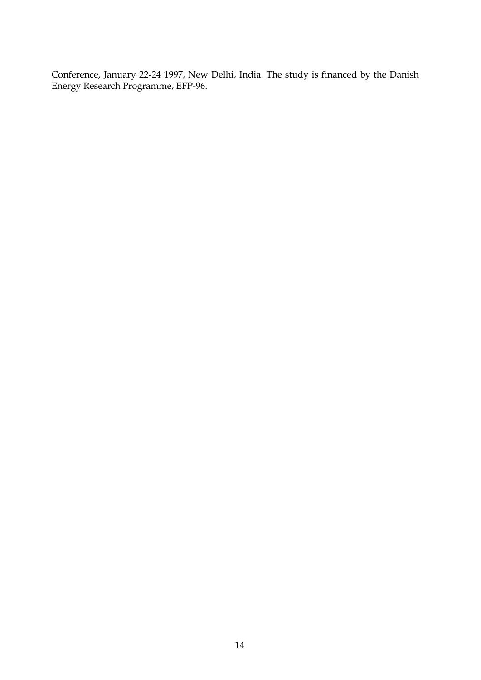Conference, January 22-24 1997, New Delhi, India. The study is financed by the Danish Energy Research Programme, EFP-96.